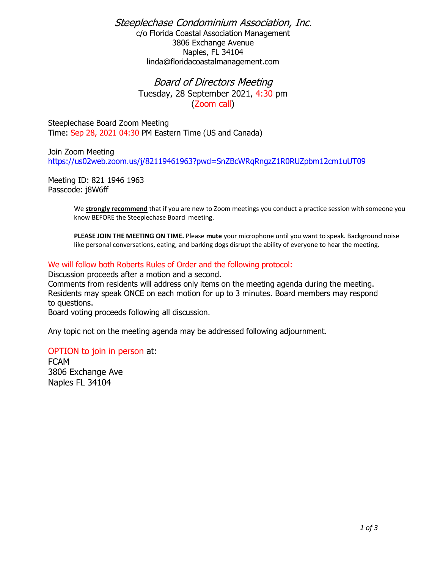Steeplechase Condominium Association, Inc. c/o Florida Coastal Association Management

3806 Exchange Avenue Naples, FL 34104 linda@floridacoastalmanagement.com

# Board of Directors Meeting Tuesday, 28 September 2021, 4:30 pm (Zoom call)

Steeplechase Board Zoom Meeting Time: Sep 28, 2021 04:30 PM Eastern Time (US and Canada)

Join Zoom Meeting <https://us02web.zoom.us/j/82119461963?pwd=SnZBcWRqRngzZ1R0RUZpbm12cm1uUT09>

Meeting ID: 821 1946 1963 Passcode: j8W6ff

> We **strongly recommend** that if you are new to Zoom meetings you conduct a practice session with someone you know BEFORE the Steeplechase Board meeting.

**PLEASE JOIN THE MEETING ON TIME.** Please **mute** your microphone until you want to speak. Background noise like personal conversations, eating, and barking dogs disrupt the ability of everyone to hear the meeting.

### We will follow both Roberts Rules of Order and the following protocol:

Discussion proceeds after a motion and a second.

Comments from residents will address only items on the meeting agenda during the meeting. Residents may speak ONCE on each motion for up to 3 minutes. Board members may respond to questions.

Board voting proceeds following all discussion.

Any topic not on the meeting agenda may be addressed following adjournment.

#### OPTION to join in person at:

FCAM 3806 Exchange Ave Naples FL 34104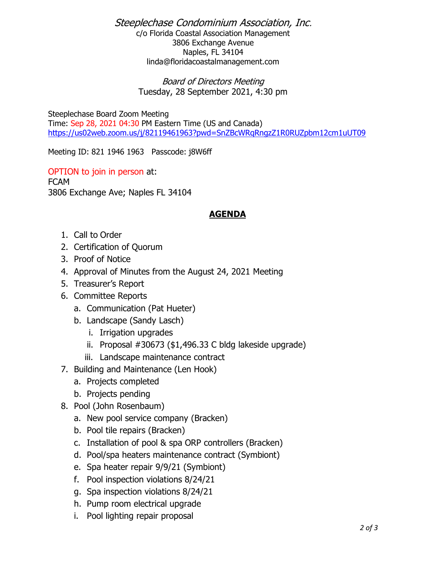# Steeplechase Condominium Association, Inc.

c/o Florida Coastal Association Management 3806 Exchange Avenue Naples, FL 34104 linda@floridacoastalmanagement.com

Board of Directors Meeting Tuesday, 28 September 2021, 4:30 pm

Steeplechase Board Zoom Meeting Time: Sep 28, 2021 04:30 PM Eastern Time (US and Canada) <https://us02web.zoom.us/j/82119461963?pwd=SnZBcWRqRngzZ1R0RUZpbm12cm1uUT09>

Meeting ID: 821 1946 1963 Passcode: j8W6ff

OPTION to join in person at: FCAM 3806 Exchange Ave; Naples FL 34104

# **AGENDA**

- 1. Call to Order
- 2. Certification of Quorum
- 3. Proof of Notice
- 4. Approval of Minutes from the August 24, 2021 Meeting
- 5. Treasurer's Report
- 6. Committee Reports
	- a. Communication (Pat Hueter)
	- b. Landscape (Sandy Lasch)
		- i. Irrigation upgrades
		- ii. Proposal #30673 (\$1,496.33 C bldg lakeside upgrade)
		- iii. Landscape maintenance contract
- 7. Building and Maintenance (Len Hook)
	- a. Projects completed
	- b. Projects pending
- 8. Pool (John Rosenbaum)
	- a. New pool service company (Bracken)
	- b. Pool tile repairs (Bracken)
	- c. Installation of pool & spa ORP controllers (Bracken)
	- d. Pool/spa heaters maintenance contract (Symbiont)
	- e. Spa heater repair 9/9/21 (Symbiont)
	- f. Pool inspection violations 8/24/21
	- g. Spa inspection violations 8/24/21
	- h. Pump room electrical upgrade
	- i. Pool lighting repair proposal